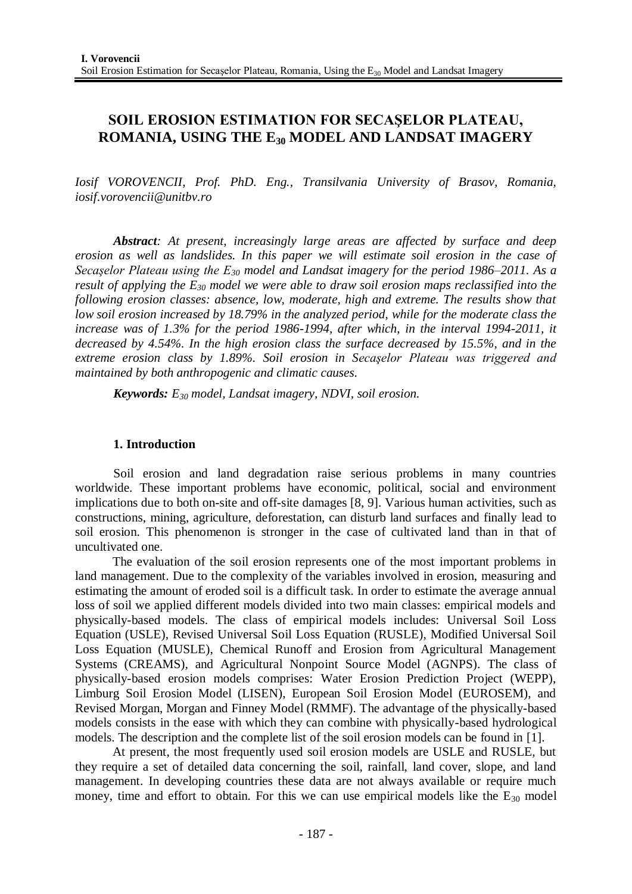# **SOIL EROSION ESTIMATION FOR SECAŞELOR PLATEAU, ROMANIA, USING THE E<sup>30</sup> MODEL AND LANDSAT IMAGERY**

*Iosif VOROVENCII, Prof. PhD. Eng., Transilvania University of Brasov, Romania, [iosif.vorovencii@unitbv.ro](mailto:iosif.vorovencii@unitbv.ro)*

*Abstract: At present, increasingly large areas are affected by surface and deep erosion as well as landslides. In this paper we will estimate soil erosion in the case of Secaşelor Plateau using the E<sup>30</sup> model and Landsat imagery for the period 1986–2011. As a result of applying the E<sup>30</sup> model we were able to draw soil erosion maps reclassified into the following erosion classes: absence, low, moderate, high and extreme. The results show that low soil erosion increased by 18.79% in the analyzed period, while for the moderate class the increase was of 1.3% for the period 1986-1994, after which, in the interval 1994-2011, it decreased by 4.54%. In the high erosion class the surface decreased by 15.5%, and in the extreme erosion class by 1.89%. Soil erosion in Secaşelor Plateau was triggered and maintained by both anthropogenic and climatic causes.*

*Keywords: E<sup>30</sup> model, Landsat imagery, NDVI, soil erosion.*

## **1. Introduction**

Soil erosion and land degradation raise serious problems in many countries worldwide. These important problems have economic, political, social and environment implications due to both on-site and off-site damages [8, 9]. Various human activities, such as constructions, mining, agriculture, deforestation, can disturb land surfaces and finally lead to soil erosion. This phenomenon is stronger in the case of cultivated land than in that of uncultivated one.

The evaluation of the soil erosion represents one of the most important problems in land management. Due to the complexity of the variables involved in erosion, measuring and estimating the amount of eroded soil is a difficult task. In order to estimate the average annual loss of soil we applied different models divided into two main classes: empirical models and physically-based models. The class of empirical models includes: Universal Soil Loss Equation (USLE), Revised Universal Soil Loss Equation (RUSLE), Modified Universal Soil Loss Equation (MUSLE), Chemical Runoff and Erosion from Agricultural Management Systems (CREAMS), and Agricultural Nonpoint Source Model (AGNPS). The class of physically-based erosion models comprises: Water Erosion Prediction Project (WEPP), Limburg Soil Erosion Model (LISEN), European Soil Erosion Model (EUROSEM), and Revised Morgan, Morgan and Finney Model (RMMF). The advantage of the physically-based models consists in the ease with which they can combine with physically-based hydrological models. The description and the complete list of the soil erosion models can be found in [1].

At present, the most frequently used soil erosion models are USLE and RUSLE, but they require a set of detailed data concerning the soil, rainfall, land cover, slope, and land management. In developing countries these data are not always available or require much money, time and effort to obtain. For this we can use empirical models like the  $E_{30}$  model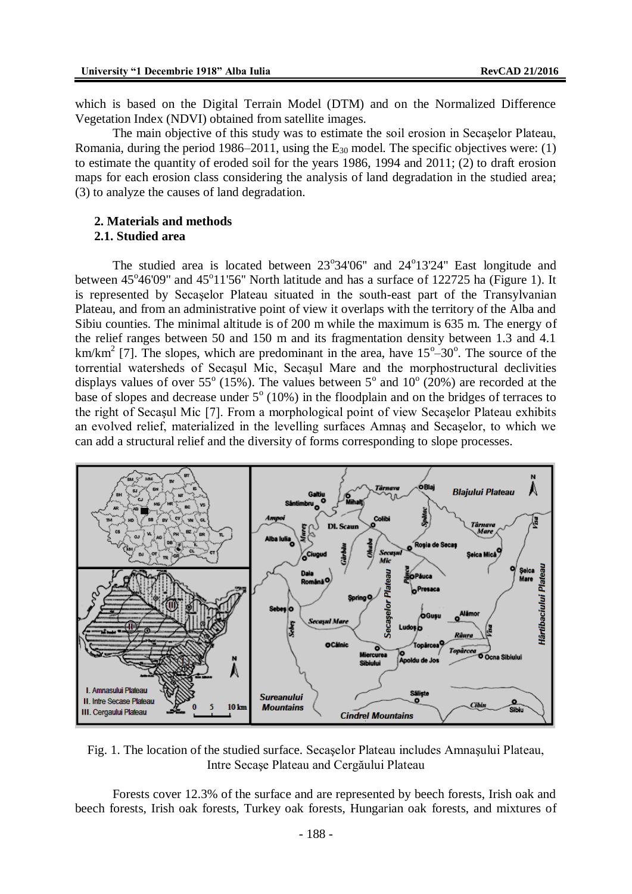which is based on the Digital Terrain Model (DTM) and on the Normalized Difference Vegetation Index (NDVI) obtained from satellite images.

The main objective of this study was to estimate the soil erosion in Secaşelor Plateau, Romania, during the period 1986–2011, using the  $E_{30}$  model. The specific objectives were: (1) to estimate the quantity of eroded soil for the years 1986, 1994 and 2011; (2) to draft erosion maps for each erosion class considering the analysis of land degradation in the studied area; (3) to analyze the causes of land degradation.

#### **2. Materials and methods 2.1. Studied area**

The studied area is located between  $23^{\circ}34'06''$  and  $24^{\circ}13'24''$  East longitude and between  $45^{\circ}46'09''$  and  $45^{\circ}11'56''$  North latitude and has a surface of 122725 ha (Figure 1). It is represented by Secaşelor Plateau situated in the south-east part of the Transylvanian Plateau, and from an administrative point of view it overlaps with the territory of the Alba and Sibiu counties. The minimal altitude is of 200 m while the maximum is 635 m. The energy of the relief ranges between 50 and 150 m and its fragmentation density between 1.3 and 4.1 km/km<sup>2</sup> [7]. The slopes, which are predominant in the area, have  $15^{\circ}$ –30°. The source of the torrential watersheds of Secaşul Mic, Secaşul Mare and the morphostructural declivities displays values of over 55<sup>°</sup> (15%). The values between 5<sup>°</sup> and 10<sup>°</sup> (20%) are recorded at the base of slopes and decrease under  $5^{\circ}$  (10%) in the floodplain and on the bridges of terraces to the right of Secaşul Mic [7]. From a morphological point of view Secaşelor Plateau exhibits an evolved relief, materialized in the levelling surfaces Amnaş and Secaşelor, to which we can add a structural relief and the diversity of forms corresponding to slope processes.



Fig. 1. The location of the studied surface. Secaşelor Plateau includes Amnaşului Plateau, Intre Secaşe Plateau and Cergăului Plateau

Forests cover 12.3% of the surface and are represented by beech forests, Irish oak and beech forests, Irish oak forests, Turkey oak forests, Hungarian oak forests, and mixtures of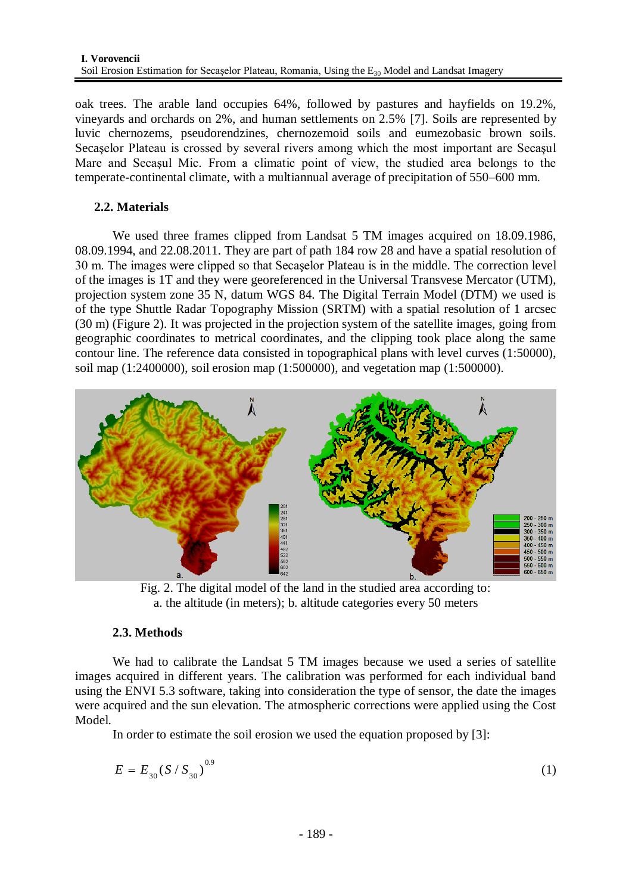oak trees. The arable land occupies 64%, followed by pastures and hayfields on 19.2%, vineyards and orchards on 2%, and human settlements on 2.5% [7]. Soils are represented by luvic chernozems*,* pseudorendzines, chernozemoid soils and eumezobasic brown soils. Secaşelor Plateau is crossed by several rivers among which the most important are Secaşul Mare and Secaşul Mic. From a climatic point of view, the studied area belongs to the temperate-continental climate, with a multiannual average of precipitation of 550–600 mm.

# **2.2. Materials**

We used three frames clipped from Landsat 5 TM images acquired on 18.09.1986, 08.09.1994, and 22.08.2011. They are part of path 184 row 28 and have a spatial resolution of 30 m. The images were clipped so that Secaşelor Plateau is in the middle. The correction level of the images is 1T and they were georeferenced in the Universal Transvese Mercator (UTM), projection system zone 35 N, datum WGS 84. The Digital Terrain Model (DTM) we used is of the type Shuttle Radar Topography Mission (SRTM) with a spatial resolution of 1 arcsec (30 m) (Figure 2). It was projected in the projection system of the satellite images, going from geographic coordinates to metrical coordinates, and the clipping took place along the same contour line. The reference data consisted in topographical plans with level curves (1:50000), soil map (1:2400000), soil erosion map (1:500000), and vegetation map (1:500000).



Fig. 2. The digital model of the land in the studied area according to: a. the altitude (in meters); b. altitude categories every 50 meters

## **2.3. Methods**

We had to calibrate the Landsat 5 TM images because we used a series of satellite images acquired in different years. The calibration was performed for each individual band using the ENVI 5.3 software, taking into consideration the type of sensor, the date the images were acquired and the sun elevation. The atmospheric corrections were applied using the Cost Model.

In order to estimate the soil erosion we used the equation proposed by [3]:

$$
E = E_{30} (S / S_{30})^{0.9}
$$
 (1)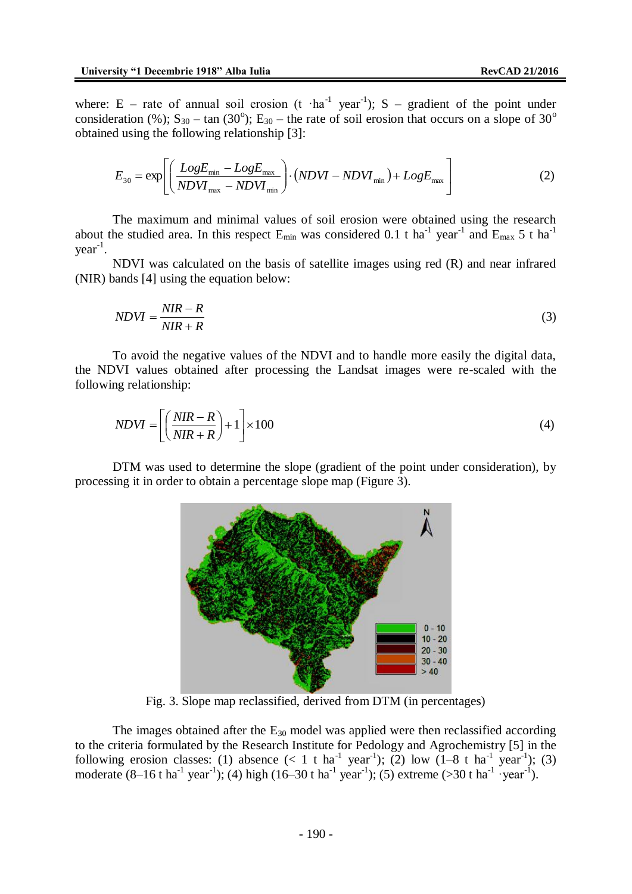where: E – rate of annual soil erosion (t  $\cdot$  ha<sup>-1</sup> year<sup>-1</sup>); S – gradient of the point under consideration (%);  $S_{30}$  – tan (30°); E<sub>30</sub> – the rate of soil erosion that occurs on a slope of 30° obtained using the following relationship [3]:

$$
E_{30} = \exp\left[\left(\frac{LogE_{\min} - LogE_{\max}}{NDVI_{\max} - NDVI_{\min}}\right) \cdot (NDVI - NDVI_{\min}) + LogE_{\max}\right]
$$
 (2)

The maximum and minimal values of soil erosion were obtained using the research about the studied area. In this respect  $E_{min}$  was considered 0.1 t ha<sup>-1</sup> year<sup>-1</sup> and  $E_{max}$  5 t ha<sup>-1</sup> year-1 .

NDVI was calculated on the basis of satellite images using red (R) and near infrared (NIR) bands [4] using the equation below:

$$
NDVI = \frac{NIR - R}{NIR + R} \tag{3}
$$

To avoid the negative values of the NDVI and to handle more easily the digital data, the NDVI values obtained after processing the Landsat images were re-scaled with the following relationship:

$$
NDVI = \left[ \left( \frac{NIR - R}{NIR + R} \right) + 1 \right] \times 100 \tag{4}
$$

DTM was used to determine the slope (gradient of the point under consideration), by processing it in order to obtain a percentage slope map (Figure 3).



Fig. 3. Slope map reclassified, derived from DTM (in percentages)

The images obtained after the  $E_{30}$  model was applied were then reclassified according to the criteria formulated by the Research Institute for Pedology and Agrochemistry [5] in the following erosion classes: (1) absence  $(< 1 \text{ t ha}^{-1} \text{ year}^{-1})$ ; (2) low  $(1-8 \text{ t ha}^{-1} \text{ year}^{-1})$ ; (3) moderate  $(8-16 \text{ t} \text{ ha}^{-1} \text{ year}^{-1})$ ; (4) high  $(16-30 \text{ t} \text{ ha}^{-1} \text{ year}^{-1})$ ; (5) extreme (>30 t ha<sup>-1</sup> ·year<sup>-1</sup>).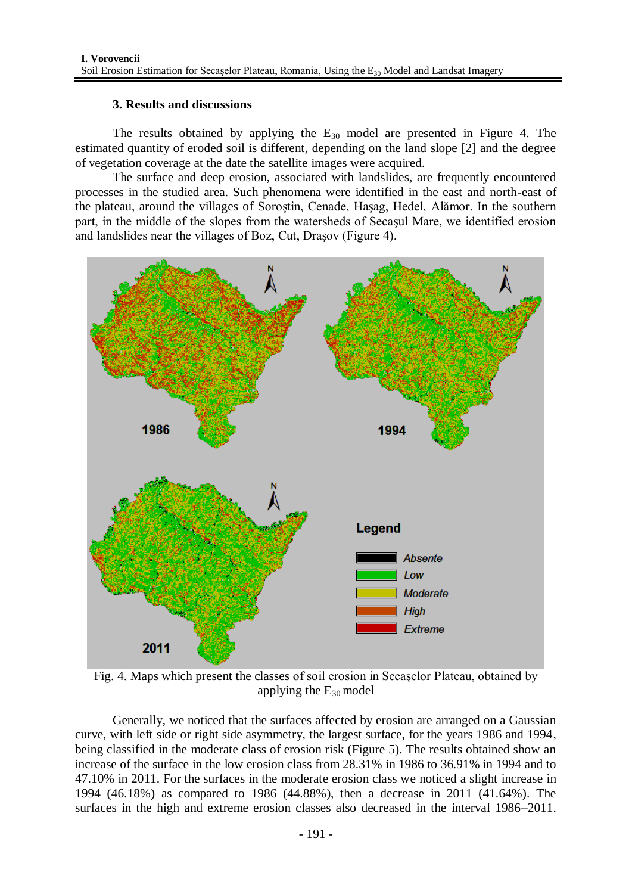# **3. Results and discussions**

The results obtained by applying the  $E_{30}$  model are presented in Figure 4. The estimated quantity of eroded soil is different, depending on the land slope [2] and the degree of vegetation coverage at the date the satellite images were acquired.

The surface and deep erosion, associated with landslides, are frequently encountered processes in the studied area. Such phenomena were identified in the east and north-east of the plateau, around the villages of Soroştin, Cenade, Haşag, Hedel, Alămor. In the southern part, in the middle of the slopes from the watersheds of Secaşul Mare, we identified erosion and landslides near the villages of Boz, Cut, Draşov (Figure 4).



Fig. 4. Maps which present the classes of soil erosion in Secaşelor Plateau, obtained by applying the  $E_{30}$  model

Generally, we noticed that the surfaces affected by erosion are arranged on a Gaussian curve, with left side or right side asymmetry, the largest surface, for the years 1986 and 1994, being classified in the moderate class of erosion risk (Figure 5). The results obtained show an increase of the surface in the low erosion class from 28.31% in 1986 to 36.91% in 1994 and to 47.10% in 2011. For the surfaces in the moderate erosion class we noticed a slight increase in 1994 (46.18%) as compared to 1986 (44.88%), then a decrease in 2011 (41.64%). The surfaces in the high and extreme erosion classes also decreased in the interval 1986–2011.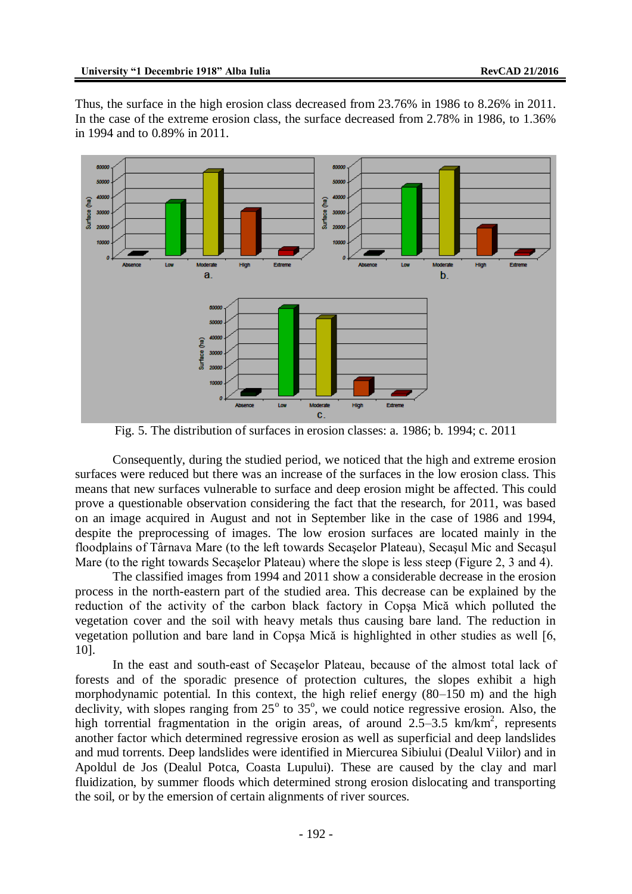Thus, the surface in the high erosion class decreased from 23.76% in 1986 to 8.26% in 2011. In the case of the extreme erosion class, the surface decreased from 2.78% in 1986, to 1.36% in 1994 and to 0.89% in 2011.



Fig. 5. The distribution of surfaces in erosion classes: a. 1986; b. 1994; c. 2011

Consequently, during the studied period, we noticed that the high and extreme erosion surfaces were reduced but there was an increase of the surfaces in the low erosion class. This means that new surfaces vulnerable to surface and deep erosion might be affected. This could prove a questionable observation considering the fact that the research, for 2011, was based on an image acquired in August and not in September like in the case of 1986 and 1994, despite the preprocessing of images. The low erosion surfaces are located mainly in the floodplains of Târnava Mare (to the left towards Secaşelor Plateau), Secaşul Mic and Secaşul Mare (to the right towards Secaşelor Plateau) where the slope is less steep (Figure 2, 3 and 4).

The classified images from 1994 and 2011 show a considerable decrease in the erosion process in the north-eastern part of the studied area. This decrease can be explained by the reduction of the activity of the carbon black factory in Copşa Mică which polluted the vegetation cover and the soil with heavy metals thus causing bare land. The reduction in vegetation pollution and bare land in Copşa Mică is highlighted in other studies as well [6, 10].

In the east and south-east of Secaşelor Plateau, because of the almost total lack of forests and of the sporadic presence of protection cultures, the slopes exhibit a high morphodynamic potential. In this context, the high relief energy (80–150 m) and the high declivity, with slopes ranging from  $25^{\circ}$  to  $35^{\circ}$ , we could notice regressive erosion. Also, the high torrential fragmentation in the origin areas, of around  $2.5-3.5$  km/km<sup>2</sup>, represents another factor which determined regressive erosion as well as superficial and deep landslides and mud torrents. Deep landslides were identified in Miercurea Sibiului (Dealul Viilor) and in Apoldul de Jos (Dealul Potca, Coasta Lupului). These are caused by the clay and marl fluidization, by summer floods which determined strong erosion dislocating and transporting the soil, or by the emersion of certain alignments of river sources.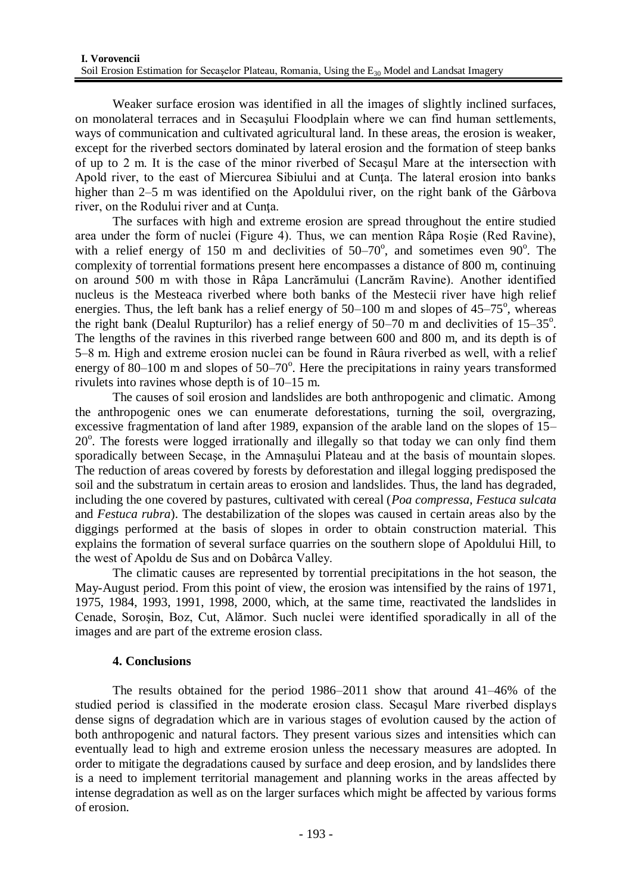Weaker surface erosion was identified in all the images of slightly inclined surfaces, on monolateral terraces and in Secaşului Floodplain where we can find human settlements, ways of communication and cultivated agricultural land. In these areas, the erosion is weaker, except for the riverbed sectors dominated by lateral erosion and the formation of steep banks of up to 2 m. It is the case of the minor riverbed of Secaşul Mare at the intersection with Apold river, to the east of Miercurea Sibiului and at Cunţa. The lateral erosion into banks higher than 2–5 m was identified on the Apoldului river, on the right bank of the Gârbova river, on the Rodului river and at Cunta.

The surfaces with high and extreme erosion are spread throughout the entire studied area under the form of nuclei (Figure 4). Thus, we can mention Râpa Roşie (Red Ravine), with a relief energy of 150 m and declivities of  $50-70^\circ$ , and sometimes even  $90^\circ$ . The complexity of torrential formations present here encompasses a distance of 800 m, continuing on around 500 m with those in Râpa Lancrămului (Lancrăm Ravine). Another identified nucleus is the Mesteaca riverbed where both banks of the Mestecii river have high relief energies. Thus, the left bank has a relief energy of  $50-100$  m and slopes of  $45-75^{\circ}$ , whereas the right bank (Dealul Rupturilor) has a relief energy of  $50-70$  m and declivities of  $15-35^\circ$ . The lengths of the ravines in this riverbed range between 600 and 800 m, and its depth is of 5–8 m. High and extreme erosion nuclei can be found in Râura riverbed as well, with a relief energy of  $80-100$  m and slopes of  $50-70^\circ$ . Here the precipitations in rainy years transformed rivulets into ravines whose depth is of 10–15 m.

The causes of soil erosion and landslides are both anthropogenic and climatic. Among the anthropogenic ones we can enumerate deforestations, turning the soil, overgrazing, excessive fragmentation of land after 1989, expansion of the arable land on the slopes of 15– 20°. The forests were logged irrationally and illegally so that today we can only find them sporadically between Secaşe, in the Amnaşului Plateau and at the basis of mountain slopes. The reduction of areas covered by forests by deforestation and illegal logging predisposed the soil and the substratum in certain areas to erosion and landslides. Thus, the land has degraded, including the one covered by pastures, cultivated with cereal (*Poa compressa*, *Festuca sulcata* and *Festuca rubra*). The destabilization of the slopes was caused in certain areas also by the diggings performed at the basis of slopes in order to obtain construction material. This explains the formation of several surface quarries on the southern slope of Apoldului Hill, to the west of Apoldu de Sus and on Dobârca Valley.

The climatic causes are represented by torrential precipitations in the hot season, the May-August period. From this point of view, the erosion was intensified by the rains of 1971, 1975, 1984, 1993, 1991, 1998, 2000, which, at the same time, reactivated the landslides in Cenade, Soroşin, Boz, Cut, Alămor. Such nuclei were identified sporadically in all of the images and are part of the extreme erosion class.

## **4. Conclusions**

The results obtained for the period 1986–2011 show that around 41–46% of the studied period is classified in the moderate erosion class. Secaşul Mare riverbed displays dense signs of degradation which are in various stages of evolution caused by the action of both anthropogenic and natural factors. They present various sizes and intensities which can eventually lead to high and extreme erosion unless the necessary measures are adopted. In order to mitigate the degradations caused by surface and deep erosion, and by landslides there is a need to implement territorial management and planning works in the areas affected by intense degradation as well as on the larger surfaces which might be affected by various forms of erosion.